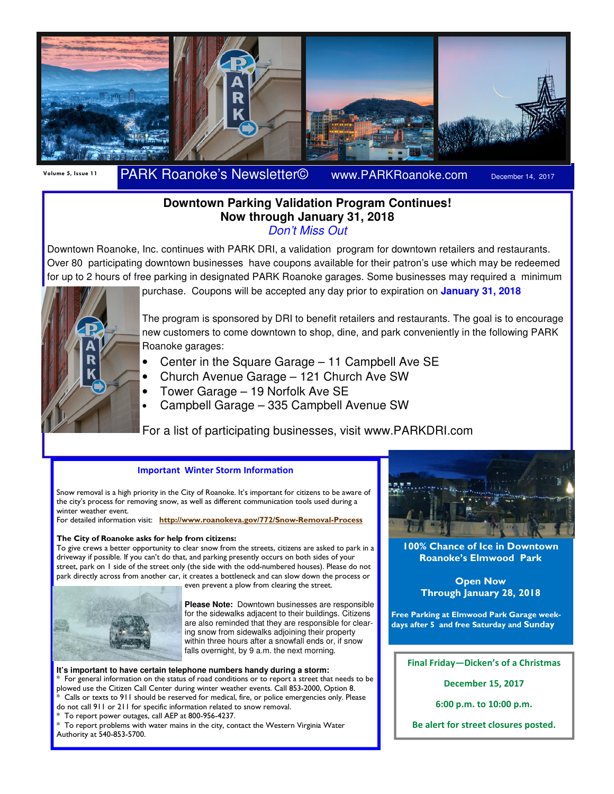

## Volume 5, Issue 11 PARK Roanoke's Newsletter© www.PARKRoanoke.com December 14, 2017

### **Downtown Parking Validation Program Continues! Now through January 31, 2018**  Don't Miss Out

Downtown Roanoke, Inc. continues with PARK DRI, a validation program for downtown retailers and restaurants. Over 80 participating downtown businesses have coupons available for their patron's use which may be redeemed for up to 2 hours of free parking in designated PARK Roanoke garages. Some businesses may required a minimum



purchase. Coupons will be accepted any day prior to expiration on **January 31, 2018** 

The program is sponsored by DRI to benefit retailers and restaurants. The goal is to encourage new customers to come downtown to shop, dine, and park conveniently in the following PARK Roanoke garages:

- Center in the Square Garage 11 Campbell Ave SE
- Church Avenue Garage 121 Church Ave SW
- Tower Garage 19 Norfolk Ave SE
- Campbell Garage 335 Campbell Avenue SW

For a list of participating businesses, visit www.PARKDRI.com

#### **Important Winter Storm Information**

Snow removal is a high priority in the City of Roanoke. It's important for citizens to be aware of the city's process for removing snow, as well as different communication tools used during a winter weather event.

For detailed information visit: http://www.roanokeva.gov/772/Snow-Removal-Process

#### The City of Roanoke asks for help from citizens:

To give crews a better opportunity to clear snow from the streets, citizens are asked to park in a driveway if possible. If you can't do that, and parking presently occurs on both sides of your street, park on 1 side of the street only (the side with the odd-numbered houses). Please do not park directly across from another car, it creates a bottleneck and can slow down the process or even prevent a plow from clearing the street.



**Please Note:** Downtown businesses are responsible for the sidewalks adjacent to their buildings. Citizens are also reminded that they are responsible for clearing snow from sidewalks adjoining their property within three hours after a snowfall ends or, if snow falls overnight, by 9 a.m. the next morning.

**It's important to have certain telephone numbers handy during a storm:**  For general information on the status of road conditions or to report a street that needs to be plowed use the Citizen Call Center during winter weather events. Call 853-2000, Option 8. Calls or texts to 911 should be reserved for medical, fire, or police emergencies only. Please do not call 911 or 211 for specific information related to snow removal.

To report power outages, call AEP at 800-956-4237.

To report problems with water mains in the city, contact the Western Virginia Water Authority at 540-853-5700.



100% Chance of Ice in Downtown Roanoke's Elmwood Park

> Open Now Through January 28, 2018

Free Parking at Elmwood Park Garage weekdays after 5 and free Saturday and Sunday

Final Friday—Dicken's of a Christmas

December 15, 2017

6:00 p.m. to 10:00 p.m.

Be alert for street closures posted.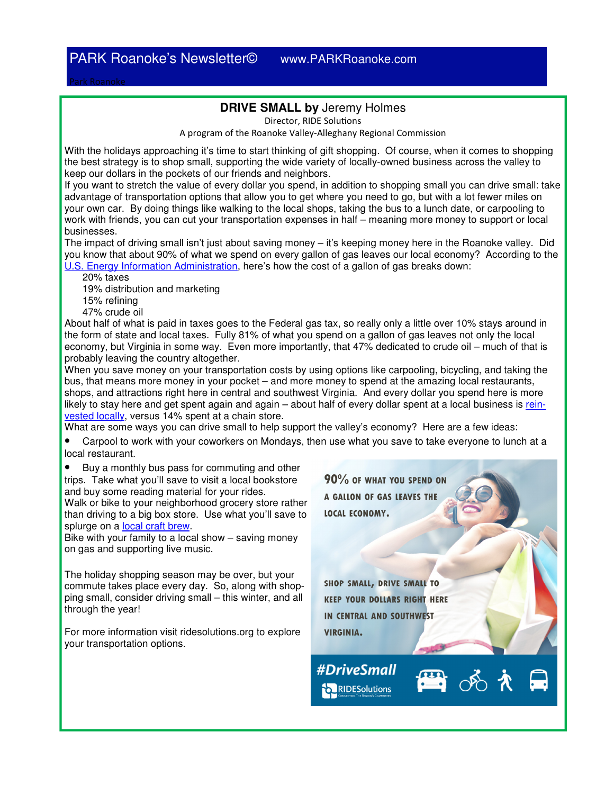## **DRIVE SMALL by** Jeremy Holmes

Director, RIDE Solutions

A program of the Roanoke Valley-Alleghany Regional Commission

With the holidays approaching it's time to start thinking of gift shopping. Of course, when it comes to shopping the best strategy is to shop small, supporting the wide variety of locally-owned business across the valley to keep our dollars in the pockets of our friends and neighbors.

If you want to stretch the value of every dollar you spend, in addition to shopping small you can drive small: take advantage of transportation options that allow you to get where you need to go, but with a lot fewer miles on your own car. By doing things like walking to the local shops, taking the bus to a lunch date, or carpooling to work with friends, you can cut your transportation expenses in half – meaning more money to support or local businesses.

The impact of driving small isn't just about saving money – it's keeping money here in the Roanoke valley. Did you know that about 90% of what we spend on every gallon of gas leaves our local economy? According to the U.S. Energy Information Administration, here's how the cost of a gallon of gas breaks down:

20% taxes

19% distribution and marketing

15% refining

47% crude oil

About half of what is paid in taxes goes to the Federal gas tax, so really only a little over 10% stays around in the form of state and local taxes. Fully 81% of what you spend on a gallon of gas leaves not only the local economy, but Virginia in some way. Even more importantly, that 47% dedicated to crude oil – much of that is probably leaving the country altogether.

When you save money on your transportation costs by using options like carpooling, bicycling, and taking the bus, that means more money in your pocket – and more money to spend at the amazing local restaurants, shops, and attractions right here in central and southwest Virginia. And every dollar you spend here is more likely to stay here and get spent again and again – about half of every dollar spent at a local business is reinvested locally, versus 14% spent at a chain store.

What are some ways you can drive small to help support the valley's economy? Here are a few ideas:

• Carpool to work with your coworkers on Mondays, then use what you save to take everyone to lunch at a local restaurant.

• Buy a monthly bus pass for commuting and other trips. Take what you'll save to visit a local bookstore and buy some reading material for your rides.

Walk or bike to your neighborhood grocery store rather than driving to a big box store. Use what you'll save to splurge on a local craft brew.

Bike with your family to a local show – saving money on gas and supporting live music.

The holiday shopping season may be over, but your commute takes place every day. So, along with shopping small, consider driving small – this winter, and all through the year!

For more information visit ridesolutions.org to explore your transportation options.